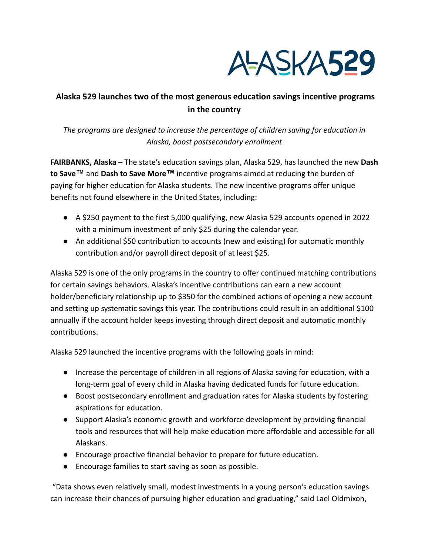

# **Alaska 529 launches two of the most generous education savings incentive programs in the country**

## *The programs are designed to increase the percentage of children saving for education in Alaska, boost postsecondary enrollment*

**FAIRBANKS, Alaska** – The state's education savings plan, Alaska 529, has launched the new **Dash to Save™** and **Dash to Save More™** incentive programs aimed at reducing the burden of paying for higher education for Alaska students. The new incentive programs offer unique benefits not found elsewhere in the United States, including:

- A \$250 payment to the first 5,000 qualifying, new Alaska 529 accounts opened in 2022 with a minimum investment of only \$25 during the calendar year.
- An additional \$50 contribution to accounts (new and existing) for automatic monthly contribution and/or payroll direct deposit of at least \$25.

Alaska 529 is one of the only programs in the country to offer continued matching contributions for certain savings behaviors. Alaska's incentive contributions can earn a new account holder/beneficiary relationship up to \$350 for the combined actions of opening a new account and setting up systematic savings this year. The contributions could result in an additional \$100 annually if the account holder keeps investing through direct deposit and automatic monthly contributions.

Alaska 529 launched the incentive programs with the following goals in mind:

- Increase the percentage of children in all regions of Alaska saving for education, with a long-term goal of every child in Alaska having dedicated funds for future education.
- Boost postsecondary enrollment and graduation rates for Alaska students by fostering aspirations for education.
- Support Alaska's economic growth and workforce development by providing financial tools and resources that will help make education more affordable and accessible for all Alaskans.
- Encourage proactive financial behavior to prepare for future education.
- Encourage families to start saving as soon as possible.

"Data shows even relatively small, modest investments in a young person's education savings can increase their chances of pursuing higher education and graduating," said Lael Oldmixon,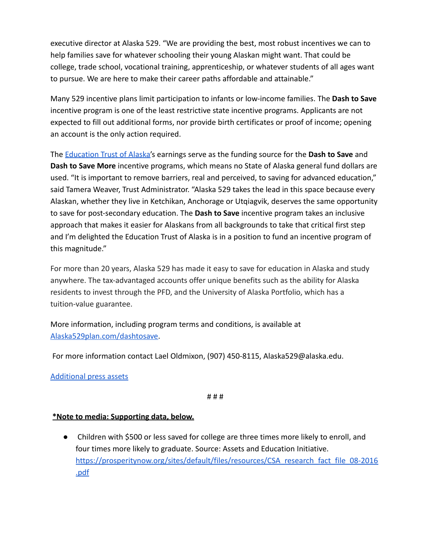executive director at Alaska 529. "We are providing the best, most robust incentives we can to help families save for whatever schooling their young Alaskan might want. That could be college, trade school, vocational training, apprenticeship, or whatever students of all ages want to pursue. We are here to make their career paths affordable and attainable."

Many 529 incentive plans limit participation to infants or low-income families. The **Dash to Save** incentive program is one of the least restrictive state incentive programs. Applicants are not expected to fill out additional forms, nor provide birth certificates or proof of income; opening an account is the only action required.

The [Education Trust of Alaska'](http://educationtrustak.com/)s earnings serve as the funding source for the **Dash to Save** and **Dash to Save More** incentive programs, which means no State of Alaska general fund dollars are used. "It is important to remove barriers, real and perceived, to saving for advanced education," said Tamera Weaver, Trust Administrator. "Alaska 529 takes the lead in this space because every Alaskan, whether they live in Ketchikan, Anchorage or Utqiagvik, deserves the same opportunity to save for post-secondary education. The **Dash to Save** incentive program takes an inclusive approach that makes it easier for Alaskans from all backgrounds to take that critical first step and I'm delighted the Education Trust of Alaska is in a position to fund an incentive program of this magnitude."

For more than 20 years, Alaska 529 has made it easy to save for education in Alaska and study anywhere. The tax-advantaged accounts offer unique benefits such as the ability for Alaska residents to invest through the PFD, and the University of Alaska Portfolio, which has a tuition-value guarantee.

More information, including program terms and conditions, is available at [Alaska529plan.com/dashtosave.](https://www.alaska529plan.com/dashtosave)

For more information contact Lael Oldmixon, (907) 450-8115, Alaska529@alaska.edu.

### [Additional press assets](https://drive.google.com/drive/folders/1Z_SbansWOTh5qF-TOK68EeuHgNevRlQk)

#### # # #

### **\*Note to media: Supporting data, below.**

● Children with \$500 or less saved for college are three times more likely to enroll, and four times more likely to graduate. Source: Assets and Education Initiative. [https://prosperitynow.org/sites/default/files/resources/CSA\\_research\\_fact\\_file\\_08-2016](https://prosperitynow.org/sites/default/files/resources/CSA_research_fact_file_08-2016.pdf) [.pdf](https://prosperitynow.org/sites/default/files/resources/CSA_research_fact_file_08-2016.pdf)